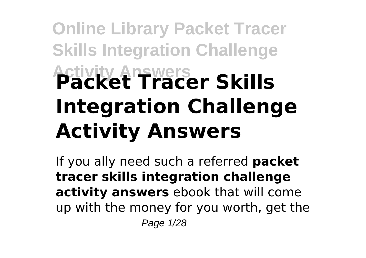# **Online Library Packet Tracer Skills Integration Challenge Activity Answers Packet Tracer Skills Integration Challenge Activity Answers**

If you ally need such a referred **packet tracer skills integration challenge activity answers** ebook that will come up with the money for you worth, get the Page 1/28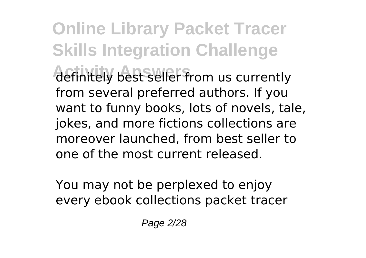**Online Library Packet Tracer Skills Integration Challenge** *Actinitely best seller from us currently* from several preferred authors. If you want to funny books, lots of novels, tale, jokes, and more fictions collections are moreover launched, from best seller to one of the most current released.

You may not be perplexed to enjoy every ebook collections packet tracer

Page 2/28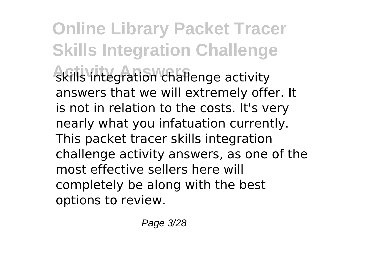**Online Library Packet Tracer Skills Integration Challenge** skills integration challenge activity answers that we will extremely offer. It is not in relation to the costs. It's very nearly what you infatuation currently. This packet tracer skills integration challenge activity answers, as one of the most effective sellers here will completely be along with the best options to review.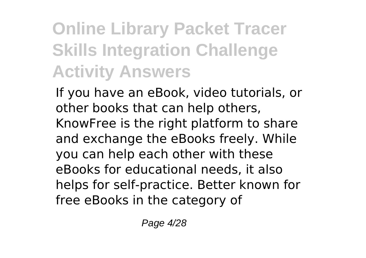## **Online Library Packet Tracer Skills Integration Challenge Activity Answers**

If you have an eBook, video tutorials, or other books that can help others, KnowFree is the right platform to share and exchange the eBooks freely. While you can help each other with these eBooks for educational needs, it also helps for self-practice. Better known for free eBooks in the category of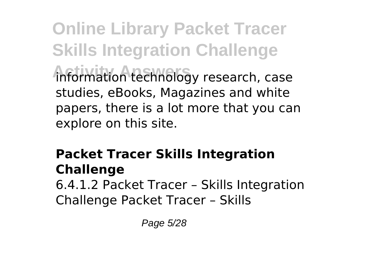**Online Library Packet Tracer Skills Integration Challenge Activity Answers** information technology research, case studies, eBooks, Magazines and white papers, there is a lot more that you can explore on this site.

#### **Packet Tracer Skills Integration Challenge**

6.4.1.2 Packet Tracer – Skills Integration Challenge Packet Tracer – Skills

Page 5/28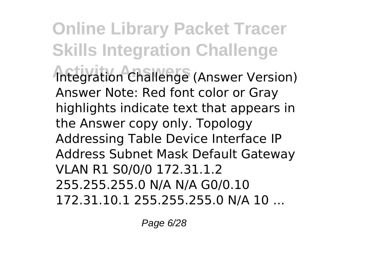**Online Library Packet Tracer Skills Integration Challenge Integration Challenge (Answer Version)** Answer Note: Red font color or Gray highlights indicate text that appears in the Answer copy only. Topology Addressing Table Device Interface IP Address Subnet Mask Default Gateway VLAN R1 S0/0/0 172.31.1.2 255.255.255.0 N/A N/A G0/0.10 172.31.10.1 255.255.255.0 N/A 10 ...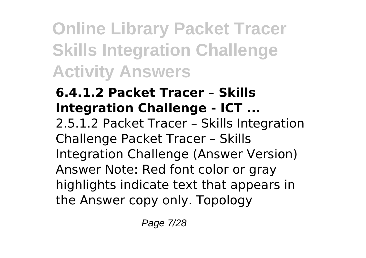**Online Library Packet Tracer Skills Integration Challenge Activity Answers**

#### **6.4.1.2 Packet Tracer – Skills Integration Challenge - ICT ...** 2.5.1.2 Packet Tracer – Skills Integration Challenge Packet Tracer – Skills Integration Challenge (Answer Version) Answer Note: Red font color or gray highlights indicate text that appears in the Answer copy only. Topology

Page 7/28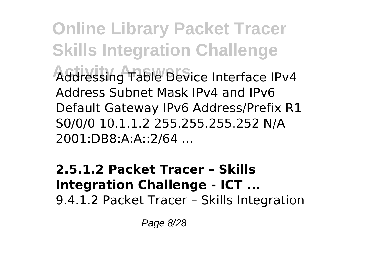**Online Library Packet Tracer Skills Integration Challenge Activity Answers** Addressing Table Device Interface IPv4 Address Subnet Mask IPv4 and IPv6 Default Gateway IPv6 Address/Prefix R1 S0/0/0 10.1.1.2 255.255.255.252 N/A 2001:DB8:A:A::2/64 ...

**2.5.1.2 Packet Tracer – Skills Integration Challenge - ICT ...** 9.4.1.2 Packet Tracer – Skills Integration

Page 8/28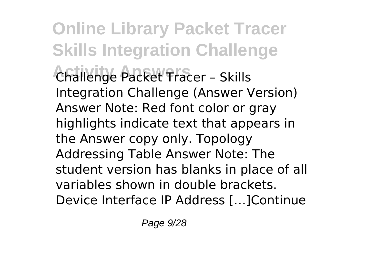**Online Library Packet Tracer Skills Integration Challenge Activity Answers** Challenge Packet Tracer – Skills Integration Challenge (Answer Version) Answer Note: Red font color or gray highlights indicate text that appears in the Answer copy only. Topology Addressing Table Answer Note: The student version has blanks in place of all variables shown in double brackets. Device Interface IP Address […]Continue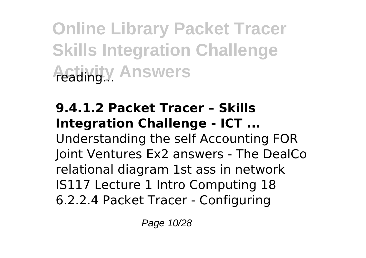**Online Library Packet Tracer Skills Integration Challenge Activity Answers** 

#### **9.4.1.2 Packet Tracer – Skills Integration Challenge - ICT ...** Understanding the self Accounting FOR Joint Ventures Ex2 answers - The DealCo relational diagram 1st ass in network IS117 Lecture 1 Intro Computing 18 6.2.2.4 Packet Tracer - Configuring

Page 10/28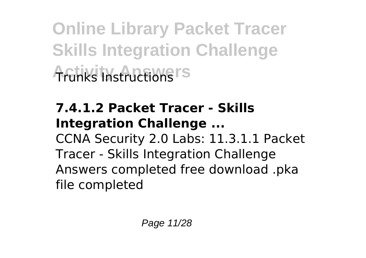**Online Library Packet Tracer Skills Integration Challenge Activity Instructions** 

### **7.4.1.2 Packet Tracer - Skills Integration Challenge ...**

CCNA Security 2.0 Labs: 11.3.1.1 Packet Tracer - Skills Integration Challenge Answers completed free download .pka file completed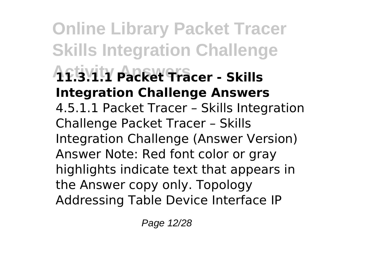**Online Library Packet Tracer Skills Integration Challenge Activity Answers 11.3.1.1 Packet Tracer - Skills Integration Challenge Answers** 4.5.1.1 Packet Tracer – Skills Integration Challenge Packet Tracer – Skills Integration Challenge (Answer Version) Answer Note: Red font color or gray highlights indicate text that appears in the Answer copy only. Topology Addressing Table Device Interface IP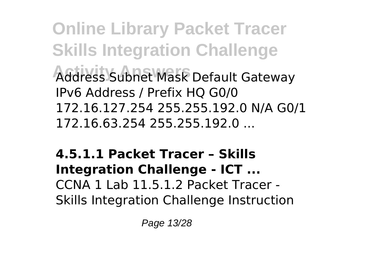**Online Library Packet Tracer Skills Integration Challenge Activity Answers** Address Subnet Mask Default Gateway IPv6 Address / Prefix HQ G0/0 172.16.127.254 255.255.192.0 N/A G0/1 172.16.63.254 255.255.192.0 ...

#### **4.5.1.1 Packet Tracer – Skills Integration Challenge - ICT ...** CCNA 1 Lab 11.5.1.2 Packet Tracer - Skills Integration Challenge Instruction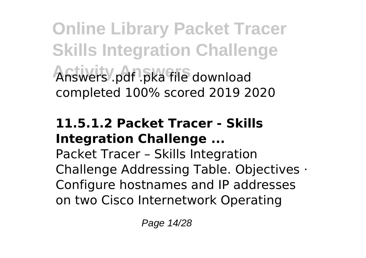**Online Library Packet Tracer Skills Integration Challenge Activity Answers** Answers .pdf .pka file download completed 100% scored 2019 2020

#### **11.5.1.2 Packet Tracer - Skills Integration Challenge ...**

Packet Tracer – Skills Integration Challenge Addressing Table. Objectives · Configure hostnames and IP addresses on two Cisco Internetwork Operating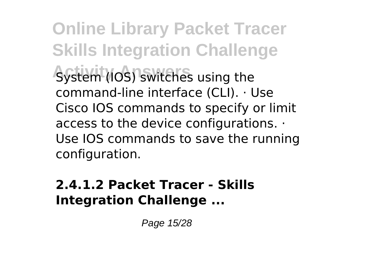**Online Library Packet Tracer Skills Integration Challenge System (IOS) switches using the** command-line interface (CLI). · Use Cisco IOS commands to specify or limit access to the device configurations. · Use IOS commands to save the running configuration.

#### **2.4.1.2 Packet Tracer - Skills Integration Challenge ...**

Page 15/28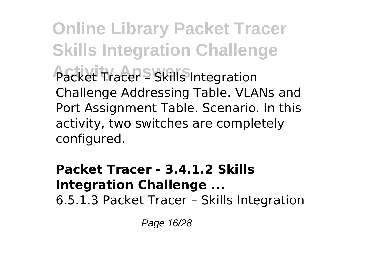**Online Library Packet Tracer Skills Integration Challenge Packet Tracer - Skills Integration** Challenge Addressing Table. VLANs and Port Assignment Table. Scenario. In this activity, two switches are completely configured.

#### **Packet Tracer - 3.4.1.2 Skills Integration Challenge ...** 6.5.1.3 Packet Tracer – Skills Integration

Page 16/28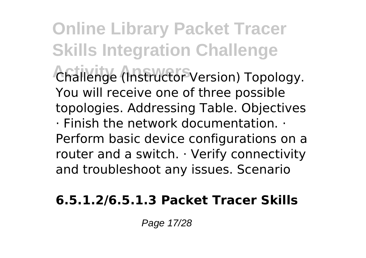**Online Library Packet Tracer Skills Integration Challenge Activity Answers** Challenge (Instructor Version) Topology. You will receive one of three possible topologies. Addressing Table. Objectives · Finish the network documentation. · Perform basic device configurations on a router and a switch. · Verify connectivity and troubleshoot any issues. Scenario

#### **6.5.1.2/6.5.1.3 Packet Tracer Skills**

Page 17/28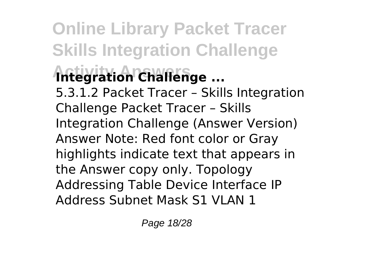**Online Library Packet Tracer Skills Integration Challenge Antegration Challenge ...** 5.3.1.2 Packet Tracer – Skills Integration Challenge Packet Tracer – Skills Integration Challenge (Answer Version) Answer Note: Red font color or Gray highlights indicate text that appears in the Answer copy only. Topology Addressing Table Device Interface IP Address Subnet Mask S1 VLAN 1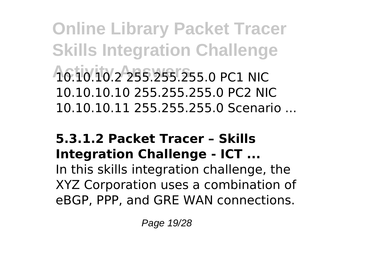**Online Library Packet Tracer Skills Integration Challenge Activity Answers** 10.10.10.2 255.255.255.0 PC1 NIC 10.10.10.10 255.255.255.0 PC2 NIC 10.10.10.11 255.255.255.0 Scenario ...

#### **5.3.1.2 Packet Tracer – Skills Integration Challenge - ICT ...**

In this skills integration challenge, the XYZ Corporation uses a combination of eBGP, PPP, and GRE WAN connections.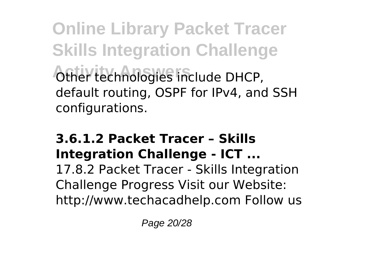**Online Library Packet Tracer Skills Integration Challenge Activity Answers** Other technologies include DHCP, default routing, OSPF for IPv4, and SSH configurations.

#### **3.6.1.2 Packet Tracer – Skills Integration Challenge - ICT ...**

17.8.2 Packet Tracer - Skills Integration Challenge Progress Visit our Website: http://www.techacadhelp.com Follow us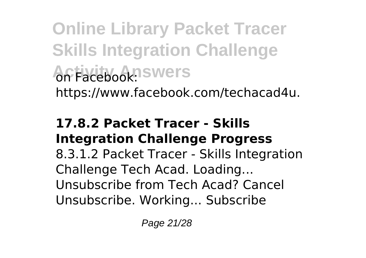**Online Library Packet Tracer Skills Integration Challenge Activity Answers** https://www.facebook.com/techacad4u.

#### **17.8.2 Packet Tracer - Skills Integration Challenge Progress**

8.3.1.2 Packet Tracer - Skills Integration Challenge Tech Acad. Loading... Unsubscribe from Tech Acad? Cancel Unsubscribe. Working... Subscribe

Page 21/28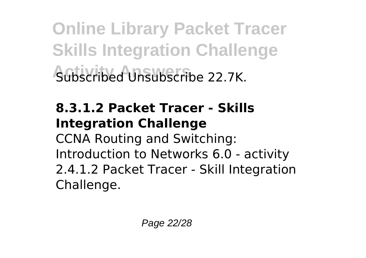**Online Library Packet Tracer Skills Integration Challenge Activity Answers** Subscribed Unsubscribe 22.7K.

#### **8.3.1.2 Packet Tracer - Skills Integration Challenge**

CCNA Routing and Switching: Introduction to Networks 6.0 - activity 2.4.1.2 Packet Tracer - Skill Integration Challenge.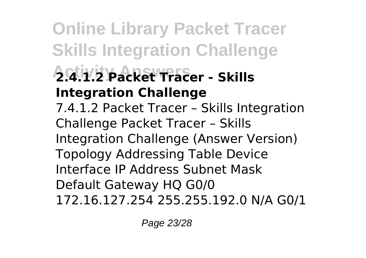**Online Library Packet Tracer Skills Integration Challenge Activity Answers 2.4.1.2 Packet Tracer - Skills Integration Challenge** 7.4.1.2 Packet Tracer – Skills Integration Challenge Packet Tracer – Skills Integration Challenge (Answer Version) Topology Addressing Table Device Interface IP Address Subnet Mask Default Gateway HQ G0/0 172.16.127.254 255.255.192.0 N/A G0/1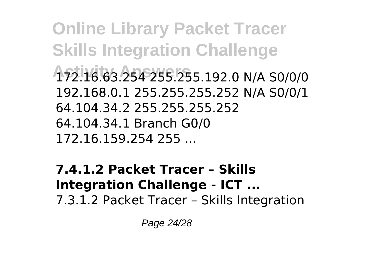**Online Library Packet Tracer Skills Integration Challenge Activity Answers** 172.16.63.254 255.255.192.0 N/A S0/0/0 192.168.0.1 255.255.255.252 N/A S0/0/1 64.104.34.2 255.255.255.252 64.104.34.1 Branch G0/0 172.16.159.254 255 ...

**7.4.1.2 Packet Tracer – Skills Integration Challenge - ICT ...** 7.3.1.2 Packet Tracer – Skills Integration

Page 24/28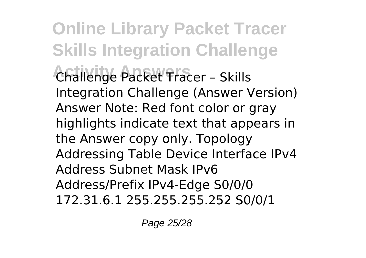**Online Library Packet Tracer Skills Integration Challenge Activity Answers** Challenge Packet Tracer – Skills Integration Challenge (Answer Version) Answer Note: Red font color or gray highlights indicate text that appears in the Answer copy only. Topology Addressing Table Device Interface IPv4 Address Subnet Mask IPv6 Address/Prefix IPv4-Edge S0/0/0 172.31.6.1 255.255.255.252 S0/0/1

Page 25/28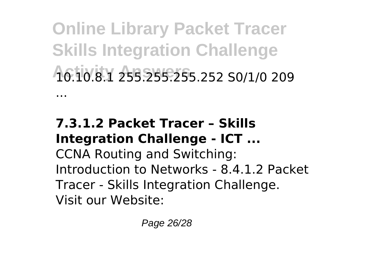**Online Library Packet Tracer Skills Integration Challenge Activity Answers** 10.10.8.1 255.255.255.252 S0/1/0 209 ...

#### **7.3.1.2 Packet Tracer – Skills Integration Challenge - ICT ...**

CCNA Routing and Switching: Introduction to Networks - 8.4.1.2 Packet Tracer - Skills Integration Challenge. Visit our Website: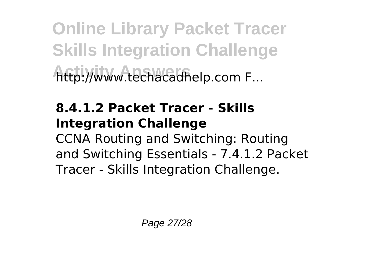**Online Library Packet Tracer Skills Integration Challenge Activity Answers** http://www.techacadhelp.com F...

#### **8.4.1.2 Packet Tracer - Skills Integration Challenge**

CCNA Routing and Switching: Routing and Switching Essentials - 7.4.1.2 Packet Tracer - Skills Integration Challenge.